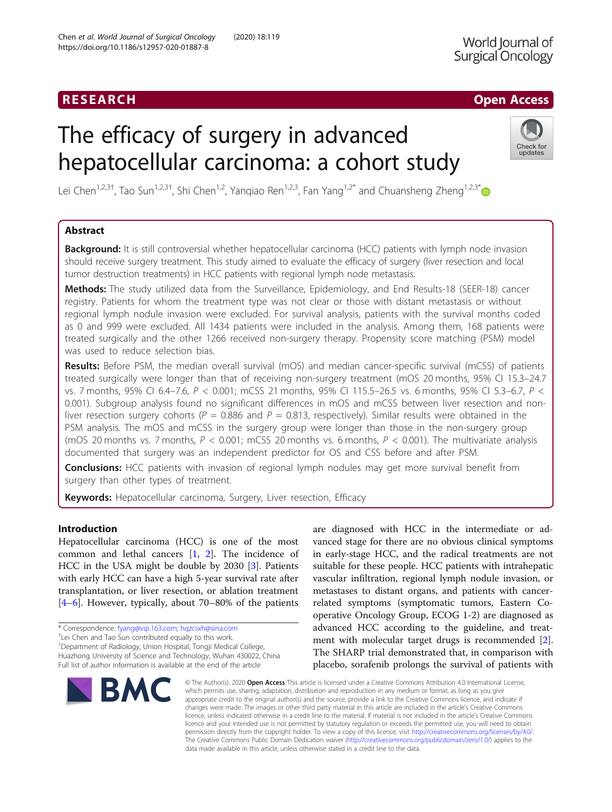## **RESEARCH CHINESEARCH CHINESEARCH CHINESEARCH**

# The efficacy of surgery in advanced hepatocellular carcinoma: a cohort study



Lei Chen<sup>1,2,3†</sup>, Tao Sun<sup>1,2,3†</sup>, Shi Chen<sup>1,2</sup>, Yanqiao Ren<sup>1,2,3</sup>, Fan Yang<sup>1,2\*</sup> and Chuansheng Zheng<sup>1,2,3\*</sup>

## Abstract

**Background:** It is still controversial whether hepatocellular carcinoma (HCC) patients with lymph node invasion should receive surgery treatment. This study aimed to evaluate the efficacy of surgery (liver resection and local tumor destruction treatments) in HCC patients with regional lymph node metastasis.

Methods: The study utilized data from the Surveillance, Epidemiology, and End Results-18 (SEER-18) cancer registry. Patients for whom the treatment type was not clear or those with distant metastasis or without regional lymph nodule invasion were excluded. For survival analysis, patients with the survival months coded as 0 and 999 were excluded. All 1434 patients were included in the analysis. Among them, 168 patients were treated surgically and the other 1266 received non-surgery therapy. Propensity score matching (PSM) model was used to reduce selection bias.

Results: Before PSM, the median overall survival (mOS) and median cancer-specific survival (mCSS) of patients treated surgically were longer than that of receiving non-surgery treatment (mOS 20 months, 95% CI 15.3–24.7 vs. 7 months, 95% CI 6.4–7.6, P < 0.001; mCSS 21 months, 95% CI 115.5–26.5 vs. 6 months, 95% CI 5.3–6.7, P < 0.001). Subgroup analysis found no significant differences in mOS and mCSS between liver resection and nonliver resection surgery cohorts ( $P = 0.886$  and  $P = 0.813$ , respectively). Similar results were obtained in the PSM analysis. The mOS and mCSS in the surgery group were longer than those in the non-surgery group (mOS 20 months vs. 7 months,  $P < 0.001$ ; mCSS 20 months vs. 6 months,  $P < 0.001$ ). The multivariate analysis documented that surgery was an independent predictor for OS and CSS before and after PSM.

**Conclusions:** HCC patients with invasion of regional lymph nodules may get more survival benefit from surgery than other types of treatment.

Keywords: Hepatocellular carcinoma, Surgery, Liver resection, Efficacy

## Introduction

Hepatocellular carcinoma (HCC) is one of the most common and lethal cancers [\[1](#page-10-0), [2\]](#page-10-0). The incidence of HCC in the USA might be double by 2030 [\[3](#page-10-0)]. Patients with early HCC can have a high 5-year survival rate after transplantation, or liver resection, or ablation treatment [[4](#page-10-0)–[6\]](#page-10-0). However, typically, about 70–80% of the patients

<sup>+</sup>Lei Chen and Tao Sun contributed equally to this work.

<sup>1</sup>Department of Radiology, Union Hospital, Tongji Medical College, Huazhong University of Science and Technology, Wuhan 430022, China Full list of author information is available at the end of the article



are diagnosed with HCC in the intermediate or advanced stage for there are no obvious clinical symptoms in early-stage HCC, and the radical treatments are not suitable for these people. HCC patients with intrahepatic vascular infiltration, regional lymph nodule invasion, or metastases to distant organs, and patients with cancerrelated symptoms (symptomatic tumors, Eastern Cooperative Oncology Group, ECOG 1-2) are diagnosed as advanced HCC according to the guideline, and treatment with molecular target drugs is recommended [\[2](#page-10-0)]. The SHARP trial demonstrated that, in comparison with placebo, sorafenib prolongs the survival of patients with

© The Author(s). 2020 Open Access This article is licensed under a Creative Commons Attribution 4.0 International License, which permits use, sharing, adaptation, distribution and reproduction in any medium or format, as long as you give appropriate credit to the original author(s) and the source, provide a link to the Creative Commons licence, and indicate if changes were made. The images or other third party material in this article are included in the article's Creative Commons licence, unless indicated otherwise in a credit line to the material. If material is not included in the article's Creative Commons licence and your intended use is not permitted by statutory regulation or exceeds the permitted use, you will need to obtain permission directly from the copyright holder. To view a copy of this licence, visit [http://creativecommons.org/licenses/by/4.0/.](http://creativecommons.org/licenses/by/4.0/) The Creative Commons Public Domain Dedication waiver [\(http://creativecommons.org/publicdomain/zero/1.0/](http://creativecommons.org/publicdomain/zero/1.0/)) applies to the data made available in this article, unless otherwise stated in a credit line to the data.

<sup>\*</sup> Correspondence: [fyang@vip.163.com](mailto:fyang@vip.163.com); [hqzcsxh@sina.com](mailto:hqzcsxh@sina.com) †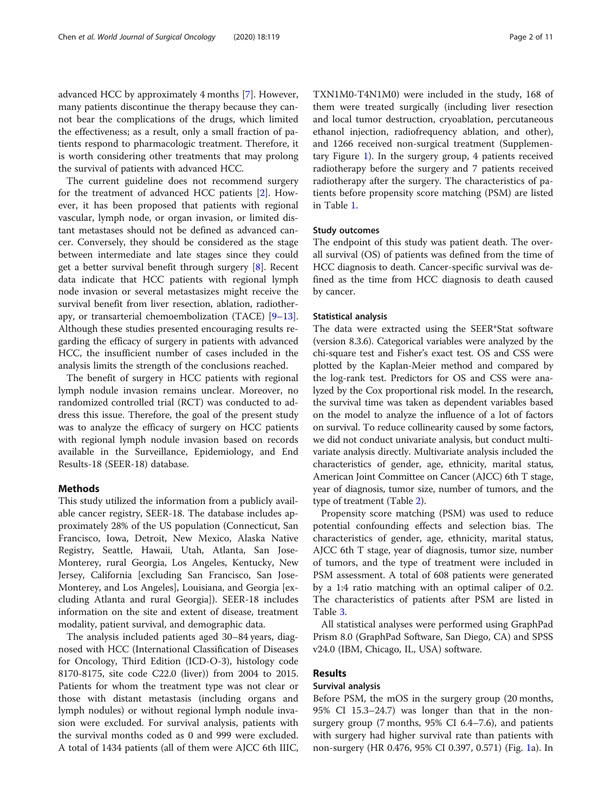advanced HCC by approximately 4 months [[7\]](#page-10-0). However, many patients discontinue the therapy because they cannot bear the complications of the drugs, which limited the effectiveness; as a result, only a small fraction of patients respond to pharmacologic treatment. Therefore, it is worth considering other treatments that may prolong the survival of patients with advanced HCC.

The current guideline does not recommend surgery for the treatment of advanced HCC patients [[2\]](#page-10-0). However, it has been proposed that patients with regional vascular, lymph node, or organ invasion, or limited distant metastases should not be defined as advanced cancer. Conversely, they should be considered as the stage between intermediate and late stages since they could get a better survival benefit through surgery [[8\]](#page-10-0). Recent data indicate that HCC patients with regional lymph node invasion or several metastasizes might receive the survival benefit from liver resection, ablation, radiotherapy, or transarterial chemoembolization (TACE) [[9](#page-10-0)–[13](#page-10-0)]. Although these studies presented encouraging results regarding the efficacy of surgery in patients with advanced HCC, the insufficient number of cases included in the analysis limits the strength of the conclusions reached.

The benefit of surgery in HCC patients with regional lymph nodule invasion remains unclear. Moreover, no randomized controlled trial (RCT) was conducted to address this issue. Therefore, the goal of the present study was to analyze the efficacy of surgery on HCC patients with regional lymph nodule invasion based on records available in the Surveillance, Epidemiology, and End Results-18 (SEER-18) database.

## Methods

This study utilized the information from a publicly available cancer registry, SEER-18. The database includes approximately 28% of the US population (Connecticut, San Francisco, Iowa, Detroit, New Mexico, Alaska Native Registry, Seattle, Hawaii, Utah, Atlanta, San Jose-Monterey, rural Georgia, Los Angeles, Kentucky, New Jersey, California [excluding San Francisco, San Jose-Monterey, and Los Angeles], Louisiana, and Georgia [excluding Atlanta and rural Georgia]). SEER-18 includes information on the site and extent of disease, treatment modality, patient survival, and demographic data.

The analysis included patients aged 30–84 years, diagnosed with HCC (International Classification of Diseases for Oncology, Third Edition (ICD-O-3), histology code 8170-8175, site code C22.0 (liver)) from 2004 to 2015. Patients for whom the treatment type was not clear or those with distant metastasis (including organs and lymph nodules) or without regional lymph nodule invasion were excluded. For survival analysis, patients with the survival months coded as 0 and 999 were excluded. A total of 1434 patients (all of them were AJCC 6th IIIC, TXN1M0-T4N1M0) were included in the study, 168 of them were treated surgically (including liver resection and local tumor destruction, cryoablation, percutaneous ethanol injection, radiofrequency ablation, and other), and 1266 received non-surgical treatment (Supplementary Figure [1\)](#page-9-0). In the surgery group, 4 patients received radiotherapy before the surgery and 7 patients received radiotherapy after the surgery. The characteristics of patients before propensity score matching (PSM) are listed in Table [1.](#page-2-0)

#### Study outcomes

The endpoint of this study was patient death. The overall survival (OS) of patients was defined from the time of HCC diagnosis to death. Cancer-specific survival was defined as the time from HCC diagnosis to death caused by cancer.

#### Statistical analysis

The data were extracted using the SEER\*Stat software (version 8.3.6). Categorical variables were analyzed by the chi-square test and Fisher's exact test. OS and CSS were plotted by the Kaplan-Meier method and compared by the log-rank test. Predictors for OS and CSS were analyzed by the Cox proportional risk model. In the research, the survival time was taken as dependent variables based on the model to analyze the influence of a lot of factors on survival. To reduce collinearity caused by some factors, we did not conduct univariate analysis, but conduct multivariate analysis directly. Multivariate analysis included the characteristics of gender, age, ethnicity, marital status, American Joint Committee on Cancer (AJCC) 6th T stage, year of diagnosis, tumor size, number of tumors, and the type of treatment (Table [2\)](#page-4-0).

Propensity score matching (PSM) was used to reduce potential confounding effects and selection bias. The characteristics of gender, age, ethnicity, marital status, AJCC 6th T stage, year of diagnosis, tumor size, number of tumors, and the type of treatment were included in PSM assessment. A total of 608 patients were generated by a 1:4 ratio matching with an optimal caliper of 0.2. The characteristics of patients after PSM are listed in Table [3.](#page-5-0)

All statistical analyses were performed using GraphPad Prism 8.0 (GraphPad Software, San Diego, CA) and SPSS v24.0 (IBM, Chicago, IL, USA) software.

## Results

## Survival analysis

Before PSM, the mOS in the surgery group (20 months, 95% CI 15.3–24.7) was longer than that in the nonsurgery group (7 months, 95% CI 6.4–7.6), and patients with surgery had higher survival rate than patients with non-surgery (HR 0.476, 95% CI 0.397, 0.571) (Fig. [1](#page-6-0)a). In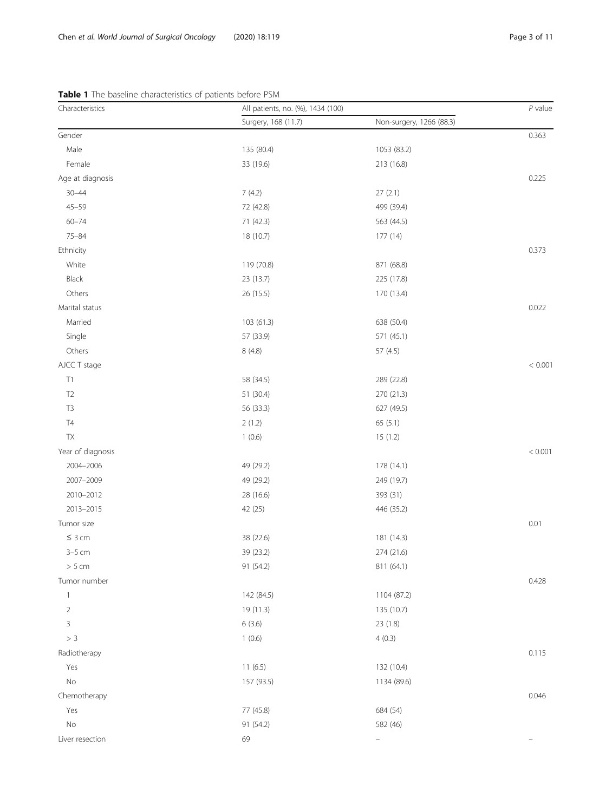| Characteristics   | All patients, no. (%), 1434 (100) |                          | $P$ value |
|-------------------|-----------------------------------|--------------------------|-----------|
|                   | Surgery, 168 (11.7)               | Non-surgery, 1266 (88.3) |           |
| Gender            |                                   |                          | 0.363     |
| Male              | 135 (80.4)                        | 1053 (83.2)              |           |
| Female            | 33 (19.6)                         | 213 (16.8)               |           |
| Age at diagnosis  |                                   |                          | 0.225     |
| $30 - 44$         | 7(4.2)                            | 27(2.1)                  |           |
| $45 - 59$         | 72 (42.8)                         | 499 (39.4)               |           |
| $60 - 74$         | 71 (42.3)                         | 563 (44.5)               |           |
| $75 - 84$         | 18 (10.7)                         | 177 (14)                 |           |
| Ethnicity         |                                   |                          | 0.373     |
| White             | 119 (70.8)                        | 871 (68.8)               |           |
| Black             | 23 (13.7)                         | 225 (17.8)               |           |
| Others            | 26 (15.5)                         | 170 (13.4)               |           |
| Marital status    |                                   |                          | 0.022     |
| Married           | 103 (61.3)                        | 638 (50.4)               |           |
| Single            | 57 (33.9)                         | 571 (45.1)               |           |
| Others            | 8(4.8)                            | 57 (4.5)                 |           |
| AJCC T stage      |                                   |                          | < 0.001   |
| T1                | 58 (34.5)                         | 289 (22.8)               |           |
| T <sub>2</sub>    | 51 (30.4)                         | 270 (21.3)               |           |
| T <sub>3</sub>    | 56 (33.3)                         | 627 (49.5)               |           |
| T4                | 2(1.2)                            | 65(5.1)                  |           |
| ${\sf TX}$        | 1(0.6)                            | 15(1.2)                  |           |
| Year of diagnosis |                                   |                          | < 0.001   |
| 2004-2006         | 49 (29.2)                         | 178 (14.1)               |           |
| 2007-2009         | 49 (29.2)                         | 249 (19.7)               |           |
| 2010-2012         | 28 (16.6)                         | 393 (31)                 |           |
| 2013-2015         | 42 (25)                           | 446 (35.2)               |           |
| Tumor size        |                                   |                          | 0.01      |
| $\leq 3$ cm       | 38 (22.6)                         | 181 (14.3)               |           |
| $3-5$ cm          | 39 (23.2)                         | 274 (21.6)               |           |
| $> 5$ cm          | 91 (54.2)                         | 811 (64.1)               |           |
| Tumor number      |                                   |                          | 0.428     |
| $\mathbf{1}$      | 142 (84.5)                        | 1104 (87.2)              |           |
| $\sqrt{2}$        | 19 (11.3)                         | 135 (10.7)               |           |
| 3                 | 6(3.6)                            | 23 (1.8)                 |           |
| > 3               | 1(0.6)                            | 4(0.3)                   |           |
| Radiotherapy      |                                   |                          | 0.115     |
| Yes               | 11(6.5)                           | 132 (10.4)               |           |
| $\rm No$          | 157 (93.5)                        | 1134 (89.6)              |           |
| Chemotherapy      |                                   |                          | 0.046     |
| Yes               | 77 (45.8)                         | 684 (54)                 |           |
| $\rm No$          | 91 (54.2)                         | 582 (46)                 |           |
| Liver resection   | 69                                | $\qquad \qquad -$        |           |

## <span id="page-2-0"></span>Table 1 The baseline characteristics of patients before PSM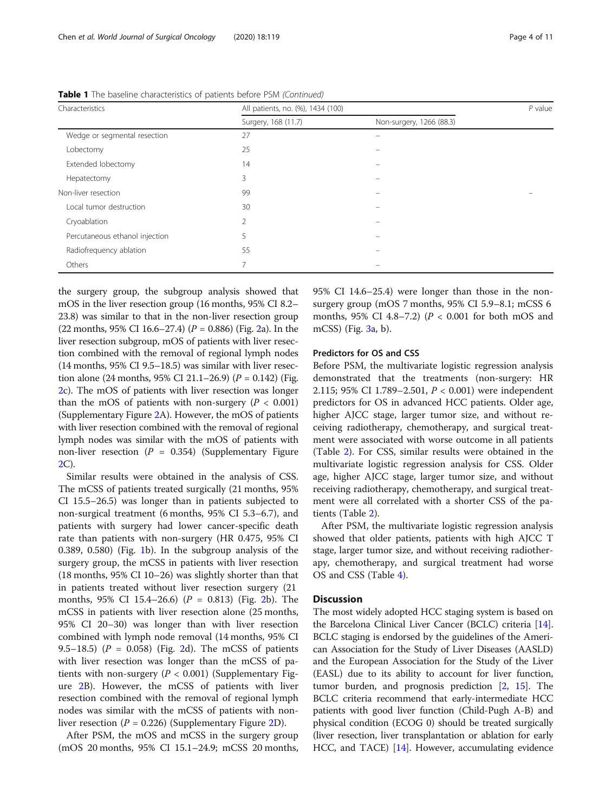| Characteristics                | All patients, no. (%), 1434 (100) |                          | $P$ value |  |
|--------------------------------|-----------------------------------|--------------------------|-----------|--|
|                                | Surgery, 168 (11.7)               | Non-surgery, 1266 (88.3) |           |  |
| Wedge or segmental resection   | 27                                |                          |           |  |
| Lobectomy                      | 25                                |                          |           |  |
| Extended lobectomy             | 14                                |                          |           |  |
| Hepatectomy                    | 3                                 |                          |           |  |
| Non-liver resection            | 99                                |                          |           |  |
| Local tumor destruction        | 30                                |                          |           |  |
| Cryoablation                   | $\overline{2}$                    |                          |           |  |
| Percutaneous ethanol injection | 5                                 |                          |           |  |
| Radiofrequency ablation        | 55                                |                          |           |  |
| Others                         | 7                                 |                          |           |  |

Table 1 The baseline characteristics of patients before PSM (Continued)

the surgery group, the subgroup analysis showed that mOS in the liver resection group (16 months, 95% CI 8.2– 23.8) was similar to that in the non-liver resection group ([2](#page-7-0)2 months, 95% CI 16.6–27.4) ( $P = 0.886$ ) (Fig. 2a). In the liver resection subgroup, mOS of patients with liver resection combined with the removal of regional lymph nodes (14 months, 95% CI 9.5–18.5) was similar with liver resection alone (24 months, 95% CI 21.1–26.9) ( $P = 0.142$ ) (Fig. [2c](#page-7-0)). The mOS of patients with liver resection was longer than the mOS of patients with non-surgery ( $P < 0.001$ ) (Supplementary Figure [2](#page-9-0)A). However, the mOS of patients with liver resection combined with the removal of regional lymph nodes was similar with the mOS of patients with non-liver resection ( $P = 0.354$ ) (Supplementary Figure [2C](#page-9-0)).

Similar results were obtained in the analysis of CSS. The mCSS of patients treated surgically (21 months, 95% CI 15.5–26.5) was longer than in patients subjected to non-surgical treatment (6 months, 95% CI 5.3–6.7), and patients with surgery had lower cancer-specific death rate than patients with non-surgery (HR 0.475, 95% CI 0.389, 0.580) (Fig. [1b](#page-6-0)). In the subgroup analysis of the surgery group, the mCSS in patients with liver resection (18 months, 95% CI 10–26) was slightly shorter than that in patients treated without liver resection surgery (21 months,  $95\%$  CI 15.4–[2](#page-7-0)6.6) ( $P = 0.813$ ) (Fig. 2b). The mCSS in patients with liver resection alone (25 months, 95% CI 20–30) was longer than with liver resection combined with lymph node removal (14 months, 95% CI 9.5–18.5) ( $P = 0.058$ ) (Fig. [2](#page-7-0)d). The mCSS of patients with liver resection was longer than the mCSS of patients with non-surgery ( $P < 0.001$ ) (Supplementary Figure [2B](#page-9-0)). However, the mCSS of patients with liver resection combined with the removal of regional lymph nodes was similar with the mCSS of patients with nonliver resection ( $P = 0.226$  $P = 0.226$  $P = 0.226$ ) (Supplementary Figure 2D).

After PSM, the mOS and mCSS in the surgery group (mOS 20 months, 95% CI 15.1–24.9; mCSS 20 months, 95% CI 14.6–25.4) were longer than those in the nonsurgery group (mOS 7 months, 95% CI 5.9–8.1; mCSS 6 months, 95% CI 4.8–7.2) ( $P < 0.001$  for both mOS and mCSS) (Fig. [3](#page-7-0)a, b).

### Predictors for OS and CSS

Before PSM, the multivariate logistic regression analysis demonstrated that the treatments (non-surgery: HR 2.115; 95% CI 1.789–2.501, P < 0.001) were independent predictors for OS in advanced HCC patients. Older age, higher AJCC stage, larger tumor size, and without receiving radiotherapy, chemotherapy, and surgical treatment were associated with worse outcome in all patients (Table [2\)](#page-4-0). For CSS, similar results were obtained in the multivariate logistic regression analysis for CSS. Older age, higher AJCC stage, larger tumor size, and without receiving radiotherapy, chemotherapy, and surgical treatment were all correlated with a shorter CSS of the patients (Table [2](#page-4-0)).

After PSM, the multivariate logistic regression analysis showed that older patients, patients with high AJCC T stage, larger tumor size, and without receiving radiotherapy, chemotherapy, and surgical treatment had worse OS and CSS (Table [4\)](#page-8-0).

## **Discussion**

The most widely adopted HCC staging system is based on the Barcelona Clinical Liver Cancer (BCLC) criteria [[14](#page-10-0)]. BCLC staging is endorsed by the guidelines of the American Association for the Study of Liver Diseases (AASLD) and the European Association for the Study of the Liver (EASL) due to its ability to account for liver function, tumor burden, and prognosis prediction [\[2](#page-10-0), [15](#page-10-0)]. The BCLC criteria recommend that early-intermediate HCC patients with good liver function (Child-Pugh A-B) and physical condition (ECOG 0) should be treated surgically (liver resection, liver transplantation or ablation for early HCC, and TACE) [[14](#page-10-0)]. However, accumulating evidence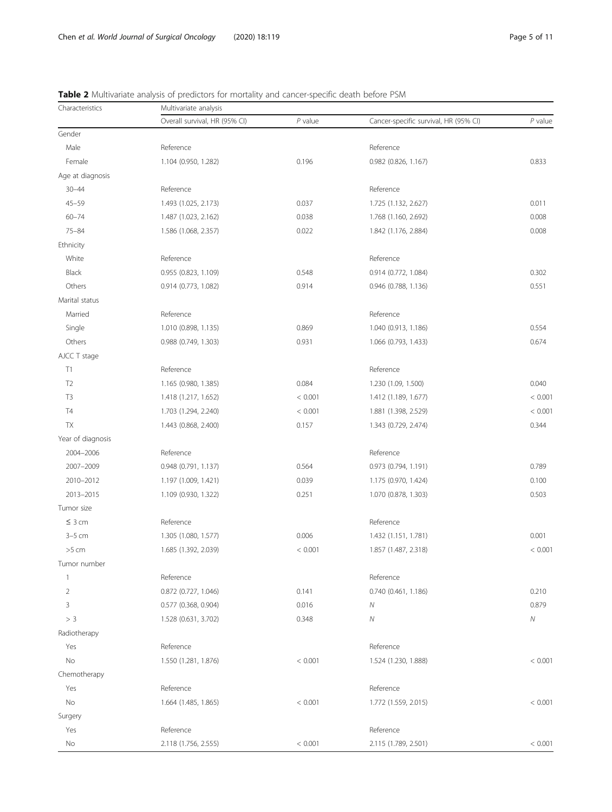| Characteristics   | Multivariate analysis         |           |                                       |           |  |
|-------------------|-------------------------------|-----------|---------------------------------------|-----------|--|
|                   | Overall survival, HR (95% CI) | $P$ value | Cancer-specific survival, HR (95% CI) | $P$ value |  |
| Gender            |                               |           |                                       |           |  |
| Male              | Reference                     |           | Reference                             |           |  |
| Female            | 1.104 (0.950, 1.282)          | 0.196     | 0.982 (0.826, 1.167)                  | 0.833     |  |
| Age at diagnosis  |                               |           |                                       |           |  |
| $30 - 44$         | Reference                     |           | Reference                             |           |  |
| $45 - 59$         | 1.493 (1.025, 2.173)          | 0.037     | 1.725 (1.132, 2.627)                  | 0.011     |  |
| $60 - 74$         | 1.487 (1.023, 2.162)          | 0.038     | 1.768 (1.160, 2.692)                  | 0.008     |  |
| $75 - 84$         | 1.586 (1.068, 2.357)          | 0.022     | 1.842 (1.176, 2.884)                  | 0.008     |  |
| Ethnicity         |                               |           |                                       |           |  |
| White             | Reference                     |           | Reference                             |           |  |
| Black             | 0.955 (0.823, 1.109)          | 0.548     | 0.914 (0.772, 1.084)                  | 0.302     |  |
| Others            | 0.914 (0.773, 1.082)          | 0.914     | 0.946 (0.788, 1.136)                  | 0.551     |  |
| Marital status    |                               |           |                                       |           |  |
| Married           | Reference                     |           | Reference                             |           |  |
| Single            | 1.010 (0.898, 1.135)          | 0.869     | 1.040 (0.913, 1.186)                  | 0.554     |  |
| Others            | 0.988 (0.749, 1.303)          | 0.931     | 1.066 (0.793, 1.433)                  | 0.674     |  |
| AJCC T stage      |                               |           |                                       |           |  |
| T1                | Reference                     |           | Reference                             |           |  |
| T <sub>2</sub>    | 1.165 (0.980, 1.385)          | 0.084     | 1.230 (1.09, 1.500)                   | 0.040     |  |
| T <sub>3</sub>    | 1.418 (1.217, 1.652)          | < 0.001   | 1.412 (1.189, 1.677)                  | < 0.001   |  |
| T <sub>4</sub>    | 1.703 (1.294, 2.240)          | < 0.001   | 1.881 (1.398, 2.529)                  | < 0.001   |  |
| TX                | 1.443 (0.868, 2.400)          | 0.157     | 1.343 (0.729, 2.474)                  | 0.344     |  |
| Year of diagnosis |                               |           |                                       |           |  |
| 2004-2006         | Reference                     |           | Reference                             |           |  |
| 2007-2009         | 0.948 (0.791, 1.137)          | 0.564     | 0.973 (0.794, 1.191)                  | 0.789     |  |
| 2010-2012         | 1.197 (1.009, 1.421)          | 0.039     | 1.175 (0.970, 1.424)                  | 0.100     |  |
| 2013-2015         | 1.109 (0.930, 1.322)          | 0.251     | 1.070 (0.878, 1.303)                  | 0.503     |  |
| Tumor size        |                               |           |                                       |           |  |
| $\leq$ 3 cm       | Reference                     |           | Reference                             |           |  |
| $3-5$ cm          | 1.305 (1.080, 1.577)          | 0.006     | 1.432 (1.151, 1.781)                  | 0.001     |  |
| $>5$ cm           | 1.685 (1.392, 2.039)          | < 0.001   | 1.857 (1.487, 2.318)                  | < 0.001   |  |
| Tumor number      |                               |           |                                       |           |  |
| $\overline{1}$    | Reference                     |           | Reference                             |           |  |
| $\overline{2}$    | 0.872 (0.727, 1.046)          | 0.141     | 0.740 (0.461, 1.186)                  | 0.210     |  |
| 3                 | 0.577 (0.368, 0.904)          | 0.016     | Ν                                     | 0.879     |  |
| $>$ 3             | 1.528 (0.631, 3.702)          | 0.348     | ${\cal N}$                            | Ν         |  |
| Radiotherapy      |                               |           |                                       |           |  |
| Yes               | Reference                     |           | Reference                             |           |  |
| No                | 1.550 (1.281, 1.876)          | < 0.001   | 1.524 (1.230, 1.888)                  | < 0.001   |  |
| Chemotherapy      |                               |           |                                       |           |  |
| Yes               | Reference                     |           | Reference                             |           |  |
| No                | 1.664 (1.485, 1.865)          | < 0.001   | 1.772 (1.559, 2.015)                  | < 0.001   |  |
| Surgery           |                               |           |                                       |           |  |
| Yes               | Reference                     |           | Reference                             |           |  |
| No                | 2.118 (1.756, 2.555)          | < 0.001   | 2.115 (1.789, 2.501)                  | < 0.001   |  |

<span id="page-4-0"></span>Table 2 Multivariate analysis of predictors for mortality and cancer-specific death before PSM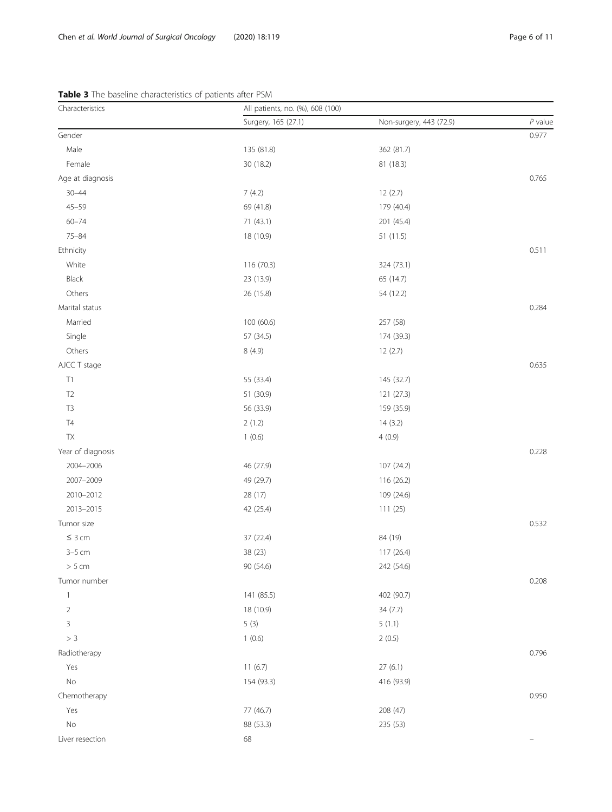| Characteristics   | All patients, no. (%), 608 (100) |                         |           |
|-------------------|----------------------------------|-------------------------|-----------|
|                   | Surgery, 165 (27.1)              | Non-surgery, 443 (72.9) | $P$ value |
| Gender            |                                  |                         | 0.977     |
| Male              | 135 (81.8)                       | 362 (81.7)              |           |
| Female            | 30 (18.2)                        | 81 (18.3)               |           |
| Age at diagnosis  |                                  |                         | 0.765     |
| $30 - 44$         | 7(4.2)                           | 12(2.7)                 |           |
| $45 - 59$         | 69 (41.8)                        | 179 (40.4)              |           |
| $60 - 74$         | 71 (43.1)                        | 201 (45.4)              |           |
| $75 - 84$         | 18 (10.9)                        | 51 (11.5)               |           |
| Ethnicity         |                                  |                         | 0.511     |
| White             | 116 (70.3)                       | 324 (73.1)              |           |
| Black             | 23 (13.9)                        | 65 (14.7)               |           |
| Others            | 26 (15.8)                        | 54 (12.2)               |           |
| Marital status    |                                  |                         | 0.284     |
| Married           | 100 (60.6)                       | 257 (58)                |           |
| Single            | 57 (34.5)                        | 174 (39.3)              |           |
| Others            | 8 (4.9)                          | 12(2.7)                 |           |
| AJCC T stage      |                                  |                         | 0.635     |
| $\top 1$          | 55 (33.4)                        | 145 (32.7)              |           |
| T <sub>2</sub>    | 51 (30.9)                        | 121 (27.3)              |           |
| T <sub>3</sub>    | 56 (33.9)                        | 159 (35.9)              |           |
| $\mathsf{T}4$     | 2(1.2)                           | 14(3.2)                 |           |
| TX                | 1(0.6)                           | 4(0.9)                  |           |
| Year of diagnosis |                                  |                         | 0.228     |
| 2004-2006         | 46 (27.9)                        | 107 (24.2)              |           |
| 2007-2009         | 49 (29.7)                        | 116 (26.2)              |           |
| 2010-2012         | 28 (17)                          | 109 (24.6)              |           |
| 2013-2015         | 42 (25.4)                        | 111(25)                 |           |
| Tumor size        |                                  |                         | 0.532     |
| $\leq 3$ cm       | 37 (22.4)                        | 84 (19)                 |           |
| $3-5$ cm          | 38 (23)                          | 117 (26.4)              |           |
| > 5 cm            | 90 (54.6)                        | 242 (54.6)              |           |
| Tumor number      |                                  |                         | 0.208     |
| $\mathbf{1}$      | 141 (85.5)                       | 402 (90.7)              |           |
| $\overline{2}$    | 18 (10.9)                        | 34 (7.7)                |           |
| 3                 | 5(3)                             | 5(1.1)                  |           |
| > 3               | 1(0.6)                           | 2(0.5)                  |           |
| Radiotherapy      |                                  |                         | 0.796     |
| Yes               | 11(6.7)                          | 27(6.1)                 |           |
| $\rm No$          | 154 (93.3)                       | 416 (93.9)              |           |
| Chemotherapy      |                                  |                         | 0.950     |
| Yes               | 77 (46.7)                        | 208 (47)                |           |
| $\rm No$          | 88 (53.3)                        | 235 (53)                |           |
| Liver resection   | 68                               |                         |           |

## <span id="page-5-0"></span>Table 3 The baseline characteristics of patients after PSM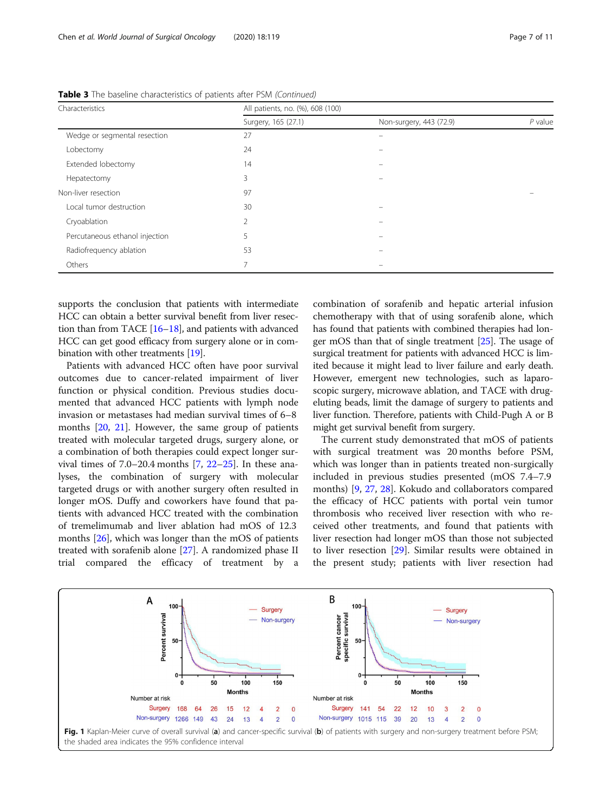| Characteristics                | All patients, no. (%), 608 (100) |                         |           |  |
|--------------------------------|----------------------------------|-------------------------|-----------|--|
|                                | Surgery, 165 (27.1)              | Non-surgery, 443 (72.9) | $P$ value |  |
| Wedge or segmental resection   | 27                               |                         |           |  |
| Lobectomy                      | 24                               |                         |           |  |
| Extended lobectomy             | 14                               |                         |           |  |
| Hepatectomy                    | 3                                |                         |           |  |
| Non-liver resection            | 97                               |                         |           |  |
| Local tumor destruction        | 30                               |                         |           |  |
| Cryoablation                   | $\overline{2}$                   |                         |           |  |
| Percutaneous ethanol injection | 5                                |                         |           |  |
| Radiofrequency ablation        | 53                               |                         |           |  |
| Others                         | $\overline{7}$                   |                         |           |  |

<span id="page-6-0"></span>Table 3 The baseline characteristics of patients after PSM (Continued)

supports the conclusion that patients with intermediate HCC can obtain a better survival benefit from liver resection than from TACE [[16](#page-10-0)–[18\]](#page-10-0), and patients with advanced HCC can get good efficacy from surgery alone or in combination with other treatments [\[19\]](#page-10-0).

Patients with advanced HCC often have poor survival outcomes due to cancer-related impairment of liver function or physical condition. Previous studies documented that advanced HCC patients with lymph node invasion or metastases had median survival times of 6–8 months [\[20](#page-10-0), [21\]](#page-10-0). However, the same group of patients treated with molecular targeted drugs, surgery alone, or a combination of both therapies could expect longer survival times of  $7.0-20.4$  $7.0-20.4$  months  $[7, 22-25]$  $[7, 22-25]$  $[7, 22-25]$  $[7, 22-25]$ . In these analyses, the combination of surgery with molecular targeted drugs or with another surgery often resulted in longer mOS. Duffy and coworkers have found that patients with advanced HCC treated with the combination of tremelimumab and liver ablation had mOS of 12.3 months [[26\]](#page-10-0), which was longer than the mOS of patients treated with sorafenib alone [[27\]](#page-10-0). A randomized phase II trial compared the efficacy of treatment by a combination of sorafenib and hepatic arterial infusion chemotherapy with that of using sorafenib alone, which has found that patients with combined therapies had longer mOS than that of single treatment [[25](#page-10-0)]. The usage of surgical treatment for patients with advanced HCC is limited because it might lead to liver failure and early death. However, emergent new technologies, such as laparoscopic surgery, microwave ablation, and TACE with drugeluting beads, limit the damage of surgery to patients and liver function. Therefore, patients with Child-Pugh A or B might get survival benefit from surgery.

The current study demonstrated that mOS of patients with surgical treatment was 20 months before PSM, which was longer than in patients treated non-surgically included in previous studies presented (mOS 7.4–7.9 months) [\[9](#page-10-0), [27](#page-10-0), [28](#page-10-0)]. Kokudo and collaborators compared the efficacy of HCC patients with portal vein tumor thrombosis who received liver resection with who received other treatments, and found that patients with liver resection had longer mOS than those not subjected to liver resection [[29\]](#page-10-0). Similar results were obtained in the present study; patients with liver resection had

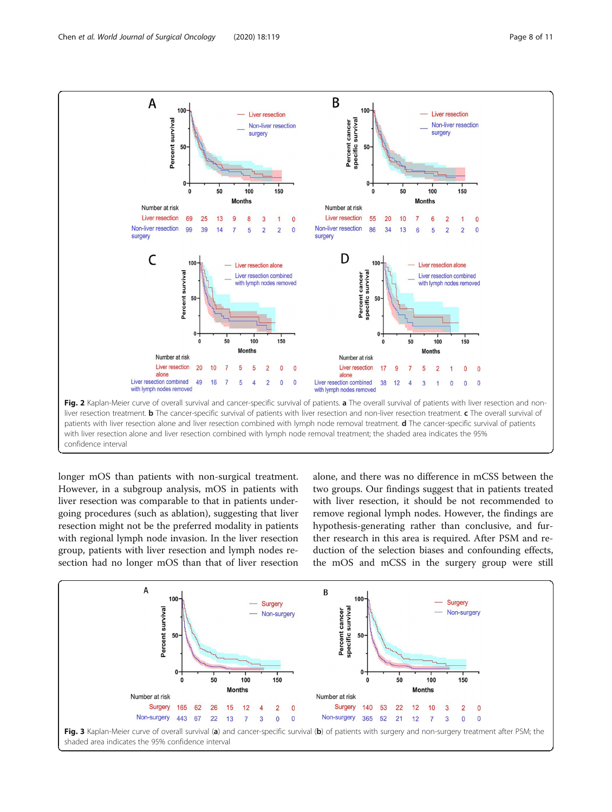<span id="page-7-0"></span>

longer mOS than patients with non-surgical treatment. However, in a subgroup analysis, mOS in patients with liver resection was comparable to that in patients undergoing procedures (such as ablation), suggesting that liver resection might not be the preferred modality in patients with regional lymph node invasion. In the liver resection group, patients with liver resection and lymph nodes resection had no longer mOS than that of liver resection alone, and there was no difference in mCSS between the two groups. Our findings suggest that in patients treated with liver resection, it should be not recommended to remove regional lymph nodes. However, the findings are hypothesis-generating rather than conclusive, and further research in this area is required. After PSM and reduction of the selection biases and confounding effects, the mOS and mCSS in the surgery group were still

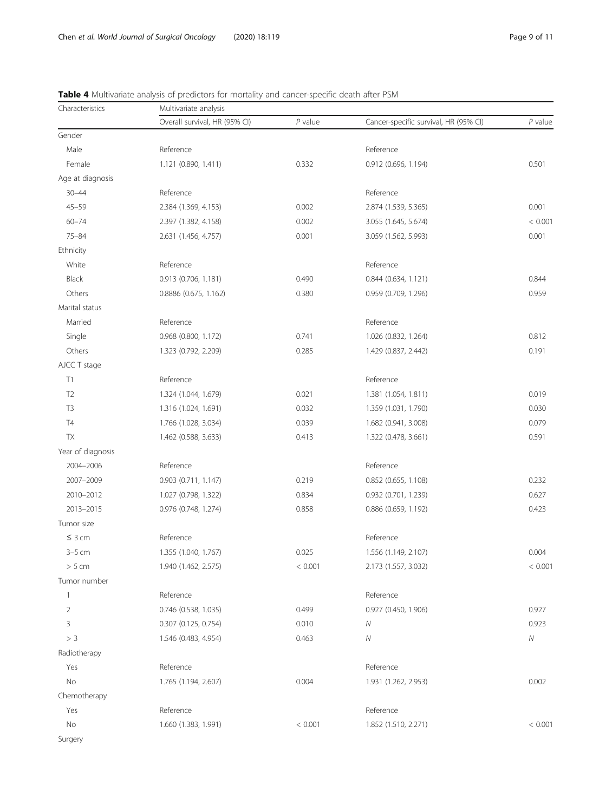| Characteristics   | Multivariate analysis         |           |                                       |            |  |
|-------------------|-------------------------------|-----------|---------------------------------------|------------|--|
|                   | Overall survival, HR (95% CI) | $P$ value | Cancer-specific survival, HR (95% CI) | $P$ value  |  |
| Gender            |                               |           |                                       |            |  |
| Male              | Reference                     |           | Reference                             |            |  |
| Female            | 1.121 (0.890, 1.411)          | 0.332     | 0.912 (0.696, 1.194)                  | 0.501      |  |
| Age at diagnosis  |                               |           |                                       |            |  |
| $30 - 44$         | Reference                     |           | Reference                             |            |  |
| $45 - 59$         | 2.384 (1.369, 4.153)          | 0.002     | 2.874 (1.539, 5.365)                  | 0.001      |  |
| $60 - 74$         | 2.397 (1.382, 4.158)          | 0.002     | 3.055 (1.645, 5.674)                  | < 0.001    |  |
| $75 - 84$         | 2.631 (1.456, 4.757)          | 0.001     | 3.059 (1.562, 5.993)                  | 0.001      |  |
| Ethnicity         |                               |           |                                       |            |  |
| White             | Reference                     |           | Reference                             |            |  |
| Black             | 0.913 (0.706, 1.181)          | 0.490     | 0.844 (0.634, 1.121)                  | 0.844      |  |
| Others            | 0.8886 (0.675, 1.162)         | 0.380     | 0.959 (0.709, 1.296)                  | 0.959      |  |
| Marital status    |                               |           |                                       |            |  |
| Married           | Reference                     |           | Reference                             |            |  |
| Single            | 0.968 (0.800, 1.172)          | 0.741     | 1.026 (0.832, 1.264)                  | 0.812      |  |
| Others            | 1.323 (0.792, 2.209)          | 0.285     | 1.429 (0.837, 2.442)                  | 0.191      |  |
| AJCC T stage      |                               |           |                                       |            |  |
| T1                | Reference                     |           | Reference                             |            |  |
| T <sub>2</sub>    | 1.324 (1.044, 1.679)          | 0.021     | 1.381 (1.054, 1.811)                  | 0.019      |  |
| T <sub>3</sub>    | 1.316 (1.024, 1.691)          | 0.032     | 1.359 (1.031, 1.790)                  | 0.030      |  |
| T4                | 1.766 (1.028, 3.034)          | 0.039     | 1.682 (0.941, 3.008)                  | 0.079      |  |
| <b>TX</b>         | 1.462 (0.588, 3.633)          | 0.413     | 1.322 (0.478, 3.661)                  | 0.591      |  |
| Year of diagnosis |                               |           |                                       |            |  |
| 2004-2006         | Reference                     |           | Reference                             |            |  |
| 2007-2009         | 0.903 (0.711, 1.147)          | 0.219     | 0.852 (0.655, 1.108)                  | 0.232      |  |
| 2010-2012         | 1.027 (0.798, 1.322)          | 0.834     | 0.932 (0.701, 1.239)                  | 0.627      |  |
| 2013-2015         | 0.976 (0.748, 1.274)          | 0.858     | 0.886 (0.659, 1.192)                  | 0.423      |  |
| Tumor size        |                               |           |                                       |            |  |
| $\leq 3$ cm       | Reference                     |           | Reference                             |            |  |
| $3-5$ cm          | 1.355 (1.040, 1.767)          | 0.025     | 1.556 (1.149, 2.107)                  | 0.004      |  |
| > 5 cm            | 1.940 (1.462, 2.575)          | < 0.001   | 2.173 (1.557, 3.032)                  | < 0.001    |  |
| Tumor number      |                               |           |                                       |            |  |
| $\mathbf{1}$      | Reference                     |           | Reference                             |            |  |
| $\overline{2}$    | 0.746 (0.538, 1.035)          | 0.499     | 0.927 (0.450, 1.906)                  | 0.927      |  |
| 3                 | 0.307 (0.125, 0.754)          | 0.010     | Ν                                     | 0.923      |  |
| $>$ 3             | 1.546 (0.483, 4.954)          | 0.463     | Ν                                     | ${\cal N}$ |  |
| Radiotherapy      |                               |           |                                       |            |  |
| Yes               | Reference                     |           | Reference                             |            |  |
| No                | 1.765 (1.194, 2.607)          | 0.004     | 1.931 (1.262, 2.953)                  | 0.002      |  |
| Chemotherapy      |                               |           |                                       |            |  |
| Yes               | Reference                     |           | Reference                             |            |  |
| No                | 1.660 (1.383, 1.991)          | < 0.001   | 1.852 (1.510, 2.271)                  | < 0.001    |  |
| Surgery           |                               |           |                                       |            |  |

<span id="page-8-0"></span>Table 4 Multivariate analysis of predictors for mortality and cancer-specific death after PSM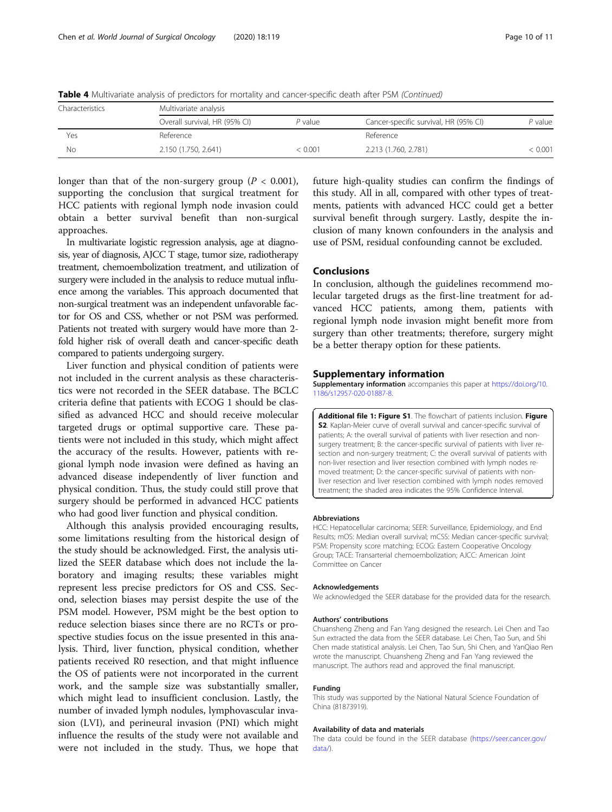| Characteristics | Multivariate analysis         |           |                                       |         |  |
|-----------------|-------------------------------|-----------|---------------------------------------|---------|--|
|                 | Overall survival, HR (95% CI) | $P$ value | Cancer-specific survival, HR (95% CI) | P value |  |
| Yes             | Reference                     |           | Reference                             |         |  |
| Νo              | 2.150 (1.750, 2.641)          | < 0.001   | 2.213 (1.760, 2.781)                  | : 0.001 |  |

<span id="page-9-0"></span>Table 4 Multivariate analysis of predictors for mortality and cancer-specific death after PSM (Continued)

longer than that of the non-surgery group ( $P < 0.001$ ), supporting the conclusion that surgical treatment for HCC patients with regional lymph node invasion could obtain a better survival benefit than non-surgical approaches.

In multivariate logistic regression analysis, age at diagnosis, year of diagnosis, AJCC T stage, tumor size, radiotherapy treatment, chemoembolization treatment, and utilization of surgery were included in the analysis to reduce mutual influence among the variables. This approach documented that non-surgical treatment was an independent unfavorable factor for OS and CSS, whether or not PSM was performed. Patients not treated with surgery would have more than 2 fold higher risk of overall death and cancer-specific death compared to patients undergoing surgery.

Liver function and physical condition of patients were not included in the current analysis as these characteristics were not recorded in the SEER database. The BCLC criteria define that patients with ECOG 1 should be classified as advanced HCC and should receive molecular targeted drugs or optimal supportive care. These patients were not included in this study, which might affect the accuracy of the results. However, patients with regional lymph node invasion were defined as having an advanced disease independently of liver function and physical condition. Thus, the study could still prove that surgery should be performed in advanced HCC patients who had good liver function and physical condition.

Although this analysis provided encouraging results, some limitations resulting from the historical design of the study should be acknowledged. First, the analysis utilized the SEER database which does not include the laboratory and imaging results; these variables might represent less precise predictors for OS and CSS. Second, selection biases may persist despite the use of the PSM model. However, PSM might be the best option to reduce selection biases since there are no RCTs or prospective studies focus on the issue presented in this analysis. Third, liver function, physical condition, whether patients received R0 resection, and that might influence the OS of patients were not incorporated in the current work, and the sample size was substantially smaller, which might lead to insufficient conclusion. Lastly, the number of invaded lymph nodules, lymphovascular invasion (LVI), and perineural invasion (PNI) which might influence the results of the study were not available and were not included in the study. Thus, we hope that

future high-quality studies can confirm the findings of this study. All in all, compared with other types of treatments, patients with advanced HCC could get a better survival benefit through surgery. Lastly, despite the inclusion of many known confounders in the analysis and use of PSM, residual confounding cannot be excluded.

## Conclusions

In conclusion, although the guidelines recommend molecular targeted drugs as the first-line treatment for advanced HCC patients, among them, patients with regional lymph node invasion might benefit more from surgery than other treatments; therefore, surgery might be a better therapy option for these patients.

#### Supplementary information

Supplementary information accompanies this paper at [https://doi.org/10.](https://doi.org/10.1186/s12957-020-01887-8) [1186/s12957-020-01887-8](https://doi.org/10.1186/s12957-020-01887-8).

Additional file 1: Figure S1. The flowchart of patients inclusion. Figure S2. Kaplan-Meier curve of overall survival and cancer-specific survival of patients; A: the overall survival of patients with liver resection and nonsurgery treatment; B: the cancer-specific survival of patients with liver resection and non-surgery treatment; C: the overall survival of patients with non-liver resection and liver resection combined with lymph nodes removed treatment; D: the cancer-specific survival of patients with nonliver resection and liver resection combined with lymph nodes removed treatment; the shaded area indicates the 95% Confidence Interval.

#### Abbreviations

HCC: Hepatocellular carcinoma; SEER: Surveillance, Epidemiology, and End Results; mOS: Median overall survival; mCSS: Median cancer-specific survival; PSM: Propensity score matching; ECOG: Eastern Cooperative Oncology Group; TACE: Transarterial chemoembolization; AJCC: American Joint Committee on Cancer

#### Acknowledgements

We acknowledged the SEER database for the provided data for the research.

#### Authors' contributions

Chuansheng Zheng and Fan Yang designed the research. Lei Chen and Tao Sun extracted the data from the SEER database. Lei Chen, Tao Sun, and Shi Chen made statistical analysis. Lei Chen, Tao Sun, Shi Chen, and YanQiao Ren wrote the manuscript. Chuansheng Zheng and Fan Yang reviewed the manuscript. The authors read and approved the final manuscript.

#### Funding

This study was supported by the National Natural Science Foundation of China (81873919).

#### Availability of data and materials

The data could be found in the SEER database ([https://seer.cancer.gov/](https://seer.cancer.gov/data/) [data/\)](https://seer.cancer.gov/data/).